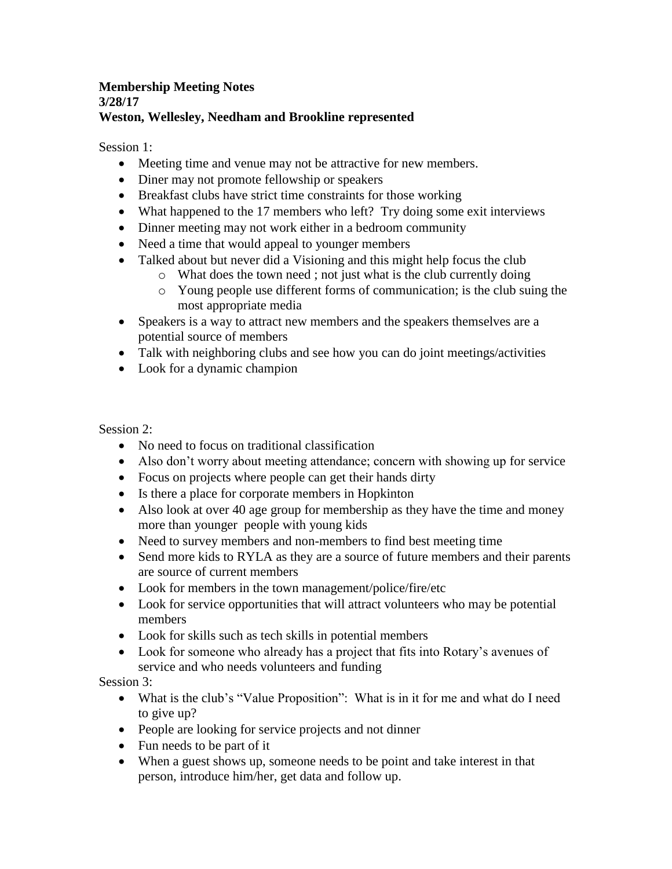## **Membership Meeting Notes 3/28/17 Weston, Wellesley, Needham and Brookline represented**

Session 1:

- Meeting time and venue may not be attractive for new members.
- Diner may not promote fellowship or speakers
- Breakfast clubs have strict time constraints for those working
- What happened to the 17 members who left? Try doing some exit interviews
- Dinner meeting may not work either in a bedroom community
- Need a time that would appeal to younger members
- Talked about but never did a Visioning and this might help focus the club
	- o What does the town need ; not just what is the club currently doing
	- o Young people use different forms of communication; is the club suing the most appropriate media
- Speakers is a way to attract new members and the speakers themselves are a potential source of members
- Talk with neighboring clubs and see how you can do joint meetings/activities
- Look for a dynamic champion

Session 2:

- No need to focus on traditional classification
- Also don't worry about meeting attendance; concern with showing up for service
- Focus on projects where people can get their hands dirty
- Is there a place for corporate members in Hopkinton
- Also look at over 40 age group for membership as they have the time and money more than younger people with young kids
- Need to survey members and non-members to find best meeting time
- Send more kids to RYLA as they are a source of future members and their parents are source of current members
- Look for members in the town management/police/fire/etc
- Look for service opportunities that will attract volunteers who may be potential members
- Look for skills such as tech skills in potential members
- Look for someone who already has a project that fits into Rotary's avenues of service and who needs volunteers and funding

Session 3:

- What is the club's "Value Proposition": What is in it for me and what do I need to give up?
- People are looking for service projects and not dinner
- Fun needs to be part of it
- When a guest shows up, someone needs to be point and take interest in that person, introduce him/her, get data and follow up.